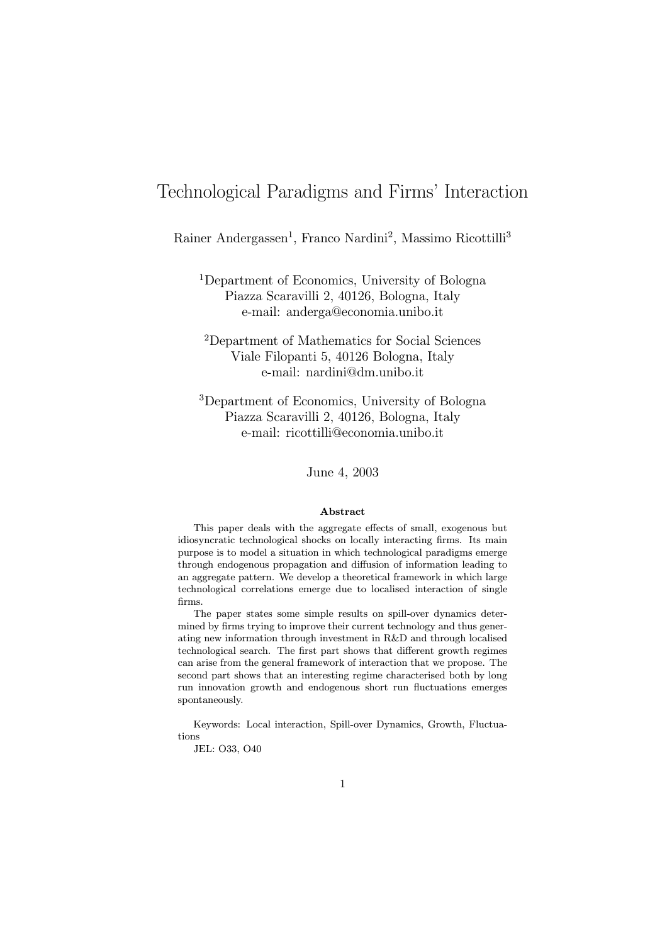# Technological Paradigms and Firms' Interaction

Rainer Andergassen<sup>1</sup>, Franco Nardini<sup>2</sup>, Massimo Ricottilli<sup>3</sup>

<sup>1</sup>Department of Economics, University of Bologna Piazza Scaravilli 2, 40126, Bologna, Italy e-mail: anderga@economia.unibo.it

<sup>2</sup>Department of Mathematics for Social Sciences Viale Filopanti 5, 40126 Bologna, Italy e-mail: nardini@dm.unibo.it

<sup>3</sup>Department of Economics, University of Bologna Piazza Scaravilli 2, 40126, Bologna, Italy e-mail: ricottilli@economia.unibo.it

June 4, 2003

#### Abstract

This paper deals with the aggregate effects of small, exogenous but idiosyncratic technological shocks on locally interacting firms. Its main purpose is to model a situation in which technological paradigms emerge through endogenous propagation and diffusion of information leading to an aggregate pattern. We develop a theoretical framework in which large technological correlations emerge due to localised interaction of single firms.

The paper states some simple results on spill-over dynamics determined by firms trying to improve their current technology and thus generating new information through investment in R&D and through localised technological search. The first part shows that different growth regimes can arise from the general framework of interaction that we propose. The second part shows that an interesting regime characterised both by long run innovation growth and endogenous short run fluctuations emerges spontaneously.

Keywords: Local interaction, Spill-over Dynamics, Growth, Fluctuations

JEL: O33, O40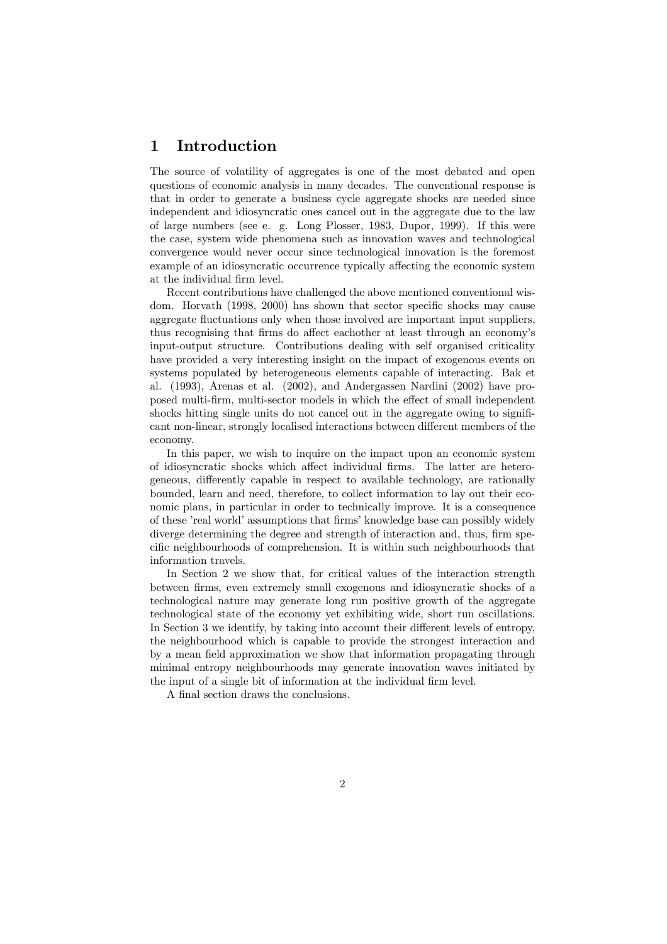# 1 Introduction

The source of volatility of aggregates is one of the most debated and open questions of economic analysis in many decades. The conventional response is that in order to generate a business cycle aggregate shocks are needed since independent and idiosyncratic ones cancel out in the aggregate due to the law of large numbers (see e. g. Long Plosser, 1983, Dupor, 1999). If this were the case, system wide phenomena such as innovation waves and technological convergence would never occur since technological innovation is the foremost example of an idiosyncratic occurrence typically affecting the economic system at the individual firm level.

Recent contributions have challenged the above mentioned conventional wisdom. Horvath (1998, 2000) has shown that sector specific shocks may cause aggregate fluctuations only when those involved are important input suppliers, thus recognising that firms do affect eachother at least through an economy's input-output structure. Contributions dealing with self organised criticality have provided a very interesting insight on the impact of exogenous events on systems populated by heterogeneous elements capable of interacting. Bak et al. (1993), Arenas et al. (2002), and Andergassen Nardini (2002) have proposed multi-firm, multi-sector models in which the effect of small independent shocks hitting single units do not cancel out in the aggregate owing to significant non-linear, strongly localised interactions between different members of the economy.

In this paper, we wish to inquire on the impact upon an economic system of idiosyncratic shocks which affect individual firms. The latter are heterogeneous, differently capable in respect to available technology, are rationally bounded, learn and need, therefore, to collect information to lay out their economic plans, in particular in order to technically improve. It is a consequence of these 'real world' assumptions that firms' knowledge base can possibly widely diverge determining the degree and strength of interaction and, thus, firm specific neighbourhoods of comprehension. It is within such neighbourhoods that information travels.

In Section 2 we show that, for critical values of the interaction strength between firms, even extremely small exogenous and idiosyncratic shocks of a technological nature may generate long run positive growth of the aggregate technological state of the economy yet exhibiting wide, short run oscillations. In Section 3 we identify, by taking into account their different levels of entropy, the neighbourhood which is capable to provide the strongest interaction and by a mean field approximation we show that information propagating through minimal entropy neighbourhoods may generate innovation waves initiated by the input of a single bit of information at the individual firm level.

A final section draws the conclusions.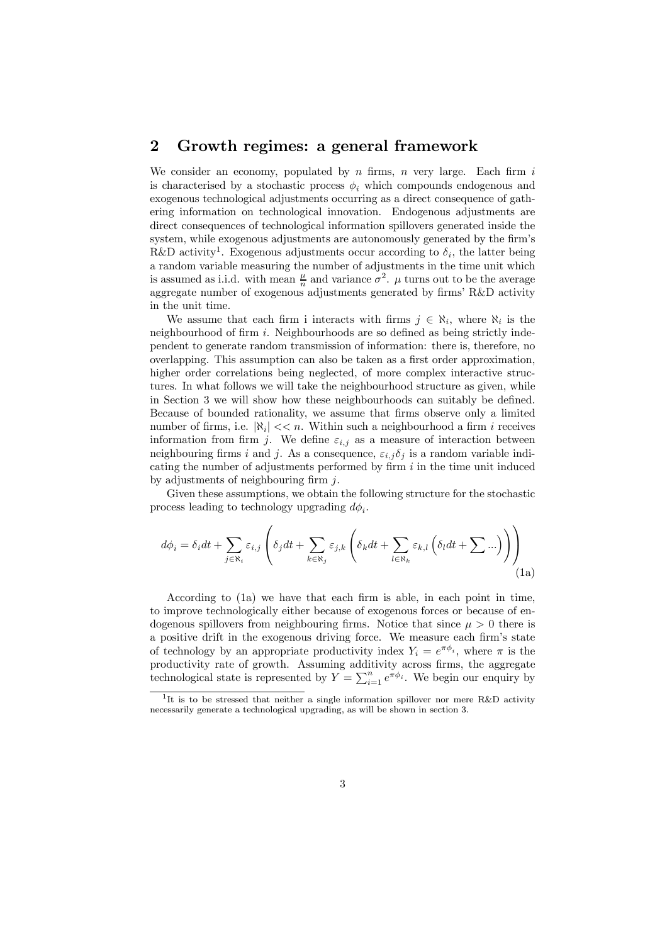# 2 Growth regimes: a general framework

We consider an economy, populated by  $n$  firms,  $n$  very large. Each firm  $i$ is characterised by a stochastic process  $\phi_i$ , which compounds endogenous and exogenous technological adjustments occurring as a direct consequence of gathering information on technological innovation. Endogenous adjustments are direct consequences of technological information spillovers generated inside the system, while exogenous adjustments are autonomously generated by the firm's R&D activity<sup>1</sup>. Exogenous adjustments occur according to  $\delta_i$ , the latter being a random variable measuring the number of adjustments in the time unit which is assumed as i.i.d. with mean  $\frac{\mu}{n}$  and variance  $\sigma^2$ .  $\mu$  turns out to be the average aggregate number of exogenous adjustments generated by firms' R&D activity in the unit time.

We assume that each firm i interacts with firms  $j \in \aleph_i$ , where  $\aleph_i$  is the neighbourhood of firm  $i$ . Neighbourhoods are so defined as being strictly independent to generate random transmission of information: there is, therefore, no overlapping. This assumption can also be taken as a first order approximation, higher order correlations being neglected, of more complex interactive structures. In what follows we will take the neighbourhood structure as given, while in Section 3 we will show how these neighbourhoods can suitably be defined. Because of bounded rationality, we assume that firms observe only a limited number of firms, i.e.  $|\aleph_i| << n$ . Within such a neighbourhood a firm i receives information from firm j. We define  $\varepsilon_{i,j}$  as a measure of interaction between neighbouring firms i and j. As a consequence,  $\varepsilon_{i,j} \delta_j$  is a random variable indicating the number of adjustments performed by firm  $i$  in the time unit induced by adjustments of neighbouring firm  $j$ .

Given these assumptions, we obtain the following structure for the stochastic process leading to technology upgrading  $d\phi_i$ .

$$
d\phi_i = \delta_i dt + \sum_{j \in \mathbb{N}_i} \varepsilon_{i,j} \left( \delta_j dt + \sum_{k \in \mathbb{N}_j} \varepsilon_{j,k} \left( \delta_k dt + \sum_{l \in \mathbb{N}_k} \varepsilon_{k,l} \left( \delta_l dt + \sum \ldots \right) \right) \right)
$$
(1a)

According to (1a) we have that each firm is able, in each point in time, to improve technologically either because of exogenous forces or because of endogenous spillovers from neighbouring firms. Notice that since  $\mu > 0$  there is a positive drift in the exogenous driving force. We measure each firm's state of technology by an appropriate productivity index  $Y_i = e^{\pi \phi_i}$ , where  $\pi$  is the productivity rate of growth. Assuming additivity across firms, the aggregate technological state is represented by  $Y = \sum_{i=1}^{n} e^{\pi \phi_i}$ . We begin our enquiry by

 $1<sup>1</sup>$ It is to be stressed that neither a single information spillover nor mere R&D activity necessarily generate a technological upgrading, as will be shown in section 3.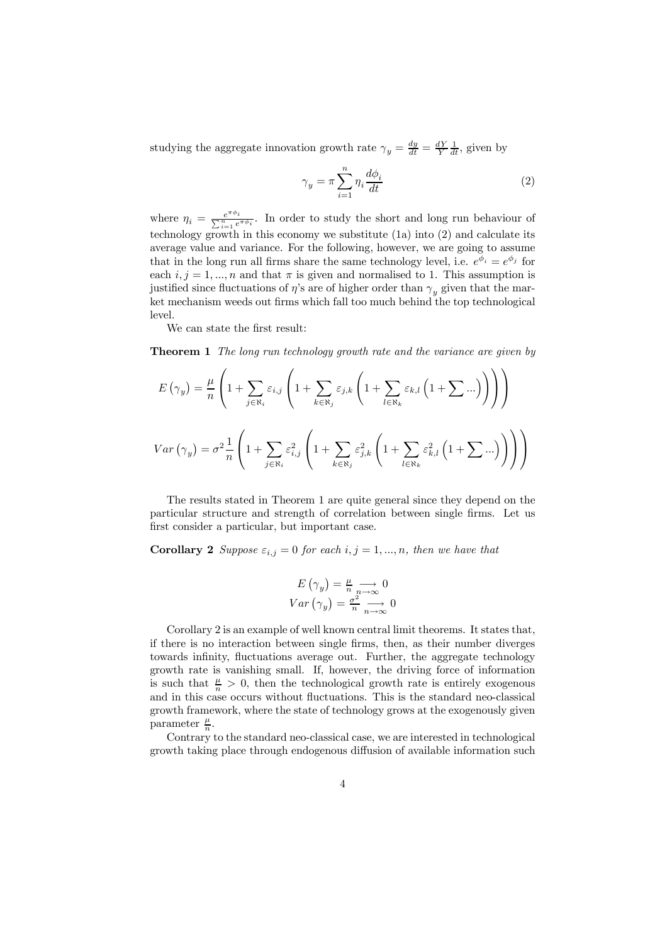studying the aggregate innovation growth rate  $\gamma_y = \frac{dy}{dt} = \frac{dY}{Y} \frac{1}{dt}$ , given by

$$
\gamma_y = \pi \sum_{i=1}^n \eta_i \frac{d\phi_i}{dt} \tag{2}
$$

where  $\eta_i = \frac{e^{\pi \phi_i}}{\sum_{i=1}^n e^{\pi \phi_i}}$ . In order to study the short and long run behaviour of technology growth in this economy we substitute (1a) into (2) and calculate its average value and variance. For the following, however, we are going to assume that in the long run all firms share the same technology level, i.e.  $e^{\phi_i} = e^{\phi_j}$  for each  $i, j = 1, ..., n$  and that  $\pi$  is given and normalised to 1. This assumption is justified since fluctuations of  $\eta$ 's are of higher order than  $\gamma_{\eta}$  given that the market mechanism weeds out firms which fall too much behind the top technological level.

We can state the first result:

**Theorem 1** The long run technology growth rate and the variance are given by

$$
E(\gamma_{y}) = \frac{\mu}{n} \left( 1 + \sum_{j \in \aleph_{i}} \varepsilon_{i,j} \left( 1 + \sum_{k \in \aleph_{j}} \varepsilon_{j,k} \left( 1 + \sum_{l \in \aleph_{k}} \varepsilon_{k,l} \left( 1 + \sum \ldots \right) \right) \right) \right)
$$
  

$$
Var(\gamma_{y}) = \sigma^{2} \frac{1}{n} \left( 1 + \sum_{j \in \aleph_{i}} \varepsilon_{i,j}^{2} \left( 1 + \sum_{k \in \aleph_{j}} \varepsilon_{j,k}^{2} \left( 1 + \sum_{l \in \aleph_{k}} \varepsilon_{k,l}^{2} \left( 1 + \sum \ldots \right) \right) \right) \right)
$$

The results stated in Theorem 1 are quite general since they depend on the particular structure and strength of correlation between single firms. Let us first consider a particular, but important case.

**Corollary 2** Suppose  $\varepsilon_{i,j} = 0$  for each  $i, j = 1, ..., n$ , then we have that

$$
E(\gamma_y) = \frac{\mu}{n} \underset{n \to \infty}{\longrightarrow} 0
$$
  
 
$$
Var(\gamma_y) = \frac{\sigma^2}{n} \underset{n \to \infty}{\longrightarrow} 0
$$

Corollary 2 is an example of well known central limit theorems. It states that, if there is no interaction between single firms, then, as their number diverges towards infinity, fluctuations average out. Further, the aggregate technology growth rate is vanishing small. If, however, the driving force of information is such that  $\frac{\mu}{n} > 0$ , then the technological growth rate is entirely exogenous and in this case occurs without fluctuations. This is the standard neo-classical growth framework, where the state of technology grows at the exogenously given parameter  $\frac{\mu}{n}$ .

Contrary to the standard neo-classical case, we are interested in technological growth taking place through endogenous diffusion of available information such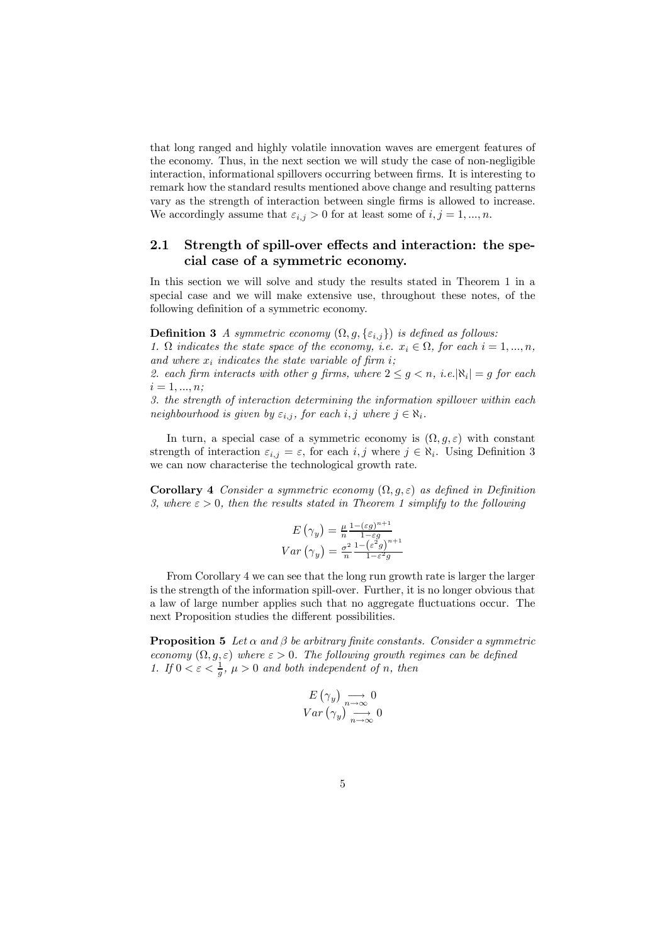that long ranged and highly volatile innovation waves are emergent features of the economy. Thus, in the next section we will study the case of non-negligible interaction, informational spillovers occurring between firms. It is interesting to remark how the standard results mentioned above change and resulting patterns vary as the strength of interaction between single firms is allowed to increase. We accordingly assume that  $\varepsilon_{i,j} > 0$  for at least some of  $i, j = 1, ..., n$ .

#### 2.1 Strength of spill-over effects and interaction: the special case of a symmetric economy.

In this section we will solve and study the results stated in Theorem 1 in a special case and we will make extensive use, throughout these notes, of the following definition of a symmetric economy.

**Definition 3** A symmetric economy  $(\Omega, g, \{\varepsilon_{i,j}\})$  is defined as follows:

1.  $\Omega$  indicates the state space of the economy, i.e.  $x_i \in \Omega$ , for each  $i = 1, ..., n$ , and where  $x_i$  indicates the state variable of firm i;

2. each firm interacts with other g firms, where  $2 \leq g \leq n$ , i.e.  $|\aleph_i| = g$  for each  $i = 1, ..., n;$ 

3. the strength of interaction determining the information spillover within each neighbourhood is given by  $\varepsilon_{i,j}$ , for each  $i, j$  where  $j \in \aleph_i$ .

In turn, a special case of a symmetric economy is  $(\Omega, g, \varepsilon)$  with constant strength of interaction  $\varepsilon_{i,j} = \varepsilon$ , for each  $i, j$  where  $j \in \aleph_i$ . Using Definition 3 we can now characterise the technological growth rate.

**Corollary 4** Consider a symmetric economy  $(\Omega, g, \varepsilon)$  as defined in Definition 3, where  $\varepsilon > 0$ , then the results stated in Theorem 1 simplify to the following

$$
E(\gamma_y) = \frac{\mu}{n} \frac{1 - (\varepsilon g)^{n+1}}{1 - \varepsilon g}
$$
  
Var(\gamma\_y) = 
$$
\frac{\sigma^2}{n} \frac{1 - (\varepsilon^2 g)^{n+1}}{1 - \varepsilon^2 g}
$$

From Corollary 4 we can see that the long run growth rate is larger the larger is the strength of the information spill-over. Further, it is no longer obvious that a law of large number applies such that no aggregate fluctuations occur. The next Proposition studies the different possibilities.

**Proposition 5** Let  $\alpha$  and  $\beta$  be arbitrary finite constants. Consider a symmetric economy  $(\Omega, g, \varepsilon)$  where  $\varepsilon > 0$ . The following growth regimes can be defined 1. If  $0 < \varepsilon < \frac{1}{g}$ ,  $\mu > 0$  and both independent of n, then

$$
E(\gamma_y) \underset{n \to \infty}{\longrightarrow} 0
$$
  
 
$$
Var(\gamma_y) \underset{n \to \infty}{\longrightarrow} 0
$$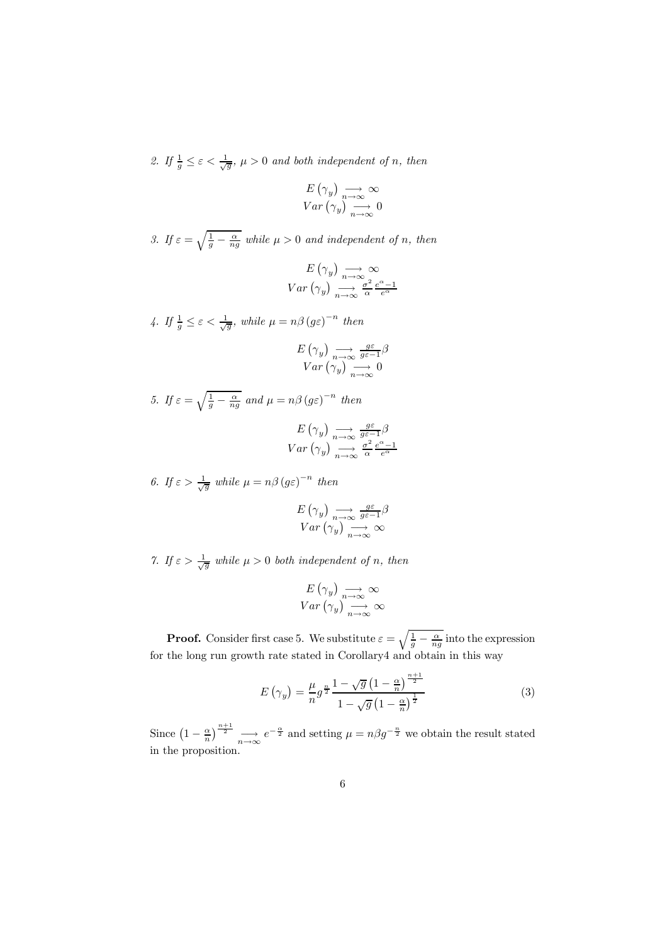2. If  $\frac{1}{g} \leq \varepsilon < \frac{1}{\sqrt{g}}$ ,  $\mu > 0$  and both independent of n, then

$$
E(\gamma_y) \underset{n \to \infty}{\longrightarrow} \infty
$$
  
 
$$
Var(\gamma_y) \underset{n \to \infty}{\longrightarrow} 0
$$

3. If  $\varepsilon = \sqrt{\frac{1}{g} - \frac{\alpha}{ng}}$  while  $\mu > 0$  and independent of n, then

$$
E(\gamma_y) \underset{n \to \infty}{\longrightarrow} \infty
$$
  

$$
Var(\gamma_y) \underset{n \to \infty}{\longrightarrow} \frac{\sigma^2}{\alpha} \frac{e^{\alpha} - 1}{e^{\alpha}}
$$

4. If 
$$
\frac{1}{g} \le \varepsilon < \frac{1}{\sqrt{g}}
$$
, while  $\mu = n\beta (g\varepsilon)^{-n}$  then  

$$
E(\gamma_y) \underset{n \to \infty}{\longrightarrow} \frac{g\varepsilon}{g\varepsilon-1}\beta
$$

$$
Var(\gamma_y) \underset{n \to \infty}{\longrightarrow} 0
$$

5. If  $\varepsilon = \sqrt{\frac{1}{g} - \frac{\alpha}{ng}}$  and  $\mu = n\beta (g\varepsilon)^{-n}$  then  $E\left(\gamma_y\right) \underset{n\to\infty}{\longrightarrow} \frac{g\varepsilon}{g\varepsilon-1}\beta$ 

$$
Var\left(\gamma_y\right) \underset{n \to \infty}{\longrightarrow} \frac{\sigma^2}{\alpha} \frac{e^{\alpha} - 1}{e^{\alpha}}
$$
  
6. If  $\varepsilon > \frac{1}{\sqrt{g}}$  while  $\mu = n\beta (g\varepsilon)^{-n}$  then

$$
E(\gamma_y) \underset{n \to \infty}{\longrightarrow} \frac{g\varepsilon}{g\varepsilon - 1} \beta
$$
  
 
$$
Var(\gamma_y) \underset{n \to \infty}{\longrightarrow} \infty
$$

7. If  $\varepsilon > \frac{1}{\sqrt{g}}$  while  $\mu > 0$  both independent of n, then

$$
E(\gamma_y) \underset{n \to \infty}{\longrightarrow} \infty
$$
  
Var $(\gamma_y) \underset{n \to \infty}{\longrightarrow} \infty$ 

**Proof.** Consider first case 5. We substitute  $\varepsilon = \sqrt{\frac{1}{g} - \frac{\alpha}{ng}}$  into the expression for the long run growth rate stated in Corollary4 and obtain in this way

$$
E\left(\gamma_y\right) = \frac{\mu}{n} g^{\frac{n}{2}} \frac{1 - \sqrt{g} \left(1 - \frac{\alpha}{n}\right)^{\frac{n+1}{2}}}{1 - \sqrt{g} \left(1 - \frac{\alpha}{n}\right)^{\frac{1}{2}}}
$$
\n
$$
\tag{3}
$$

Since  $\left(1-\frac{\alpha}{n}\right)^{\frac{n+1}{2}} \longrightarrow e^{-\frac{\alpha}{2}}$  and setting  $\mu = n\beta g^{-\frac{n}{2}}$  we obtain the result stated in the proposition.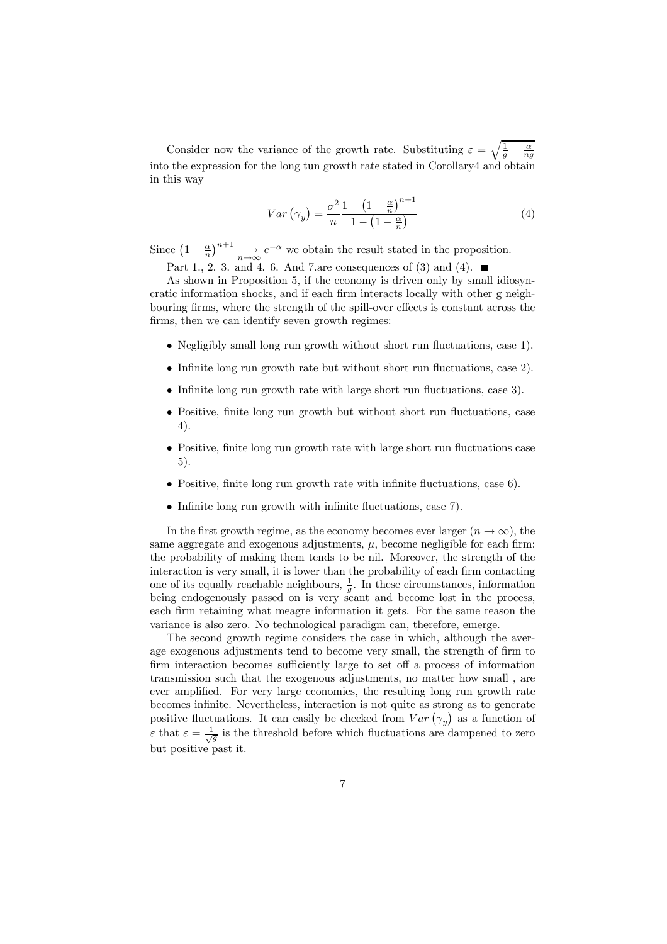Consider now the variance of the growth rate. Substituting  $\varepsilon = \sqrt{\frac{1}{g} - \frac{\alpha}{ng}}$ into the expression for the long tun growth rate stated in Corollary4 and obtain in this way

$$
Var\left(\gamma_y\right) = \frac{\sigma^2}{n} \frac{1 - \left(1 - \frac{\alpha}{n}\right)^{n+1}}{1 - \left(1 - \frac{\alpha}{n}\right)}\tag{4}
$$

Since  $\left(1 - \frac{\alpha}{n}\right)^{n+1} \longrightarrow e^{-\alpha}$  we obtain the result stated in the proposition.

Part 1., 2. 3. and 4. 6. And 7.are consequences of (3) and (4).  $\blacksquare$ 

As shown in Proposition 5, if the economy is driven only by small idiosyncratic information shocks, and if each firm interacts locally with other g neighbouring firms, where the strength of the spill-over effects is constant across the firms, then we can identify seven growth regimes:

- Negligibly small long run growth without short run fluctuations, case 1).
- Infinite long run growth rate but without short run fluctuations, case 2).
- Infinite long run growth rate with large short run fluctuations, case 3).
- Positive, finite long run growth but without short run fluctuations, case 4).
- Positive, finite long run growth rate with large short run fluctuations case 5).
- Positive, finite long run growth rate with infinite fluctuations, case 6).
- Infinite long run growth with infinite fluctuations, case 7).

In the first growth regime, as the economy becomes ever larger  $(n \to \infty)$ , the same aggregate and exogenous adjustments,  $\mu$ , become negligible for each firm: the probability of making them tends to be nil. Moreover, the strength of the interaction is very small, it is lower than the probability of each firm contacting one of its equally reachable neighbours,  $\frac{1}{g}$ . In these circumstances, information being endogenously passed on is very scant and become lost in the process, each firm retaining what meagre information it gets. For the same reason the variance is also zero. No technological paradigm can, therefore, emerge.

The second growth regime considers the case in which, although the average exogenous adjustments tend to become very small, the strength of firm to firm interaction becomes sufficiently large to set off a process of information transmission such that the exogenous adjustments, no matter how small , are ever amplified. For very large economies, the resulting long run growth rate becomes infinite. Nevertheless, interaction is not quite as strong as to generate positive fluctuations. It can easily be checked from  $Var(\gamma_y)$  as a function of  $\varepsilon$  that  $\varepsilon = \frac{1}{\sqrt{g}}$  is the threshold before which fluctuations are dampened to zero but positive past it.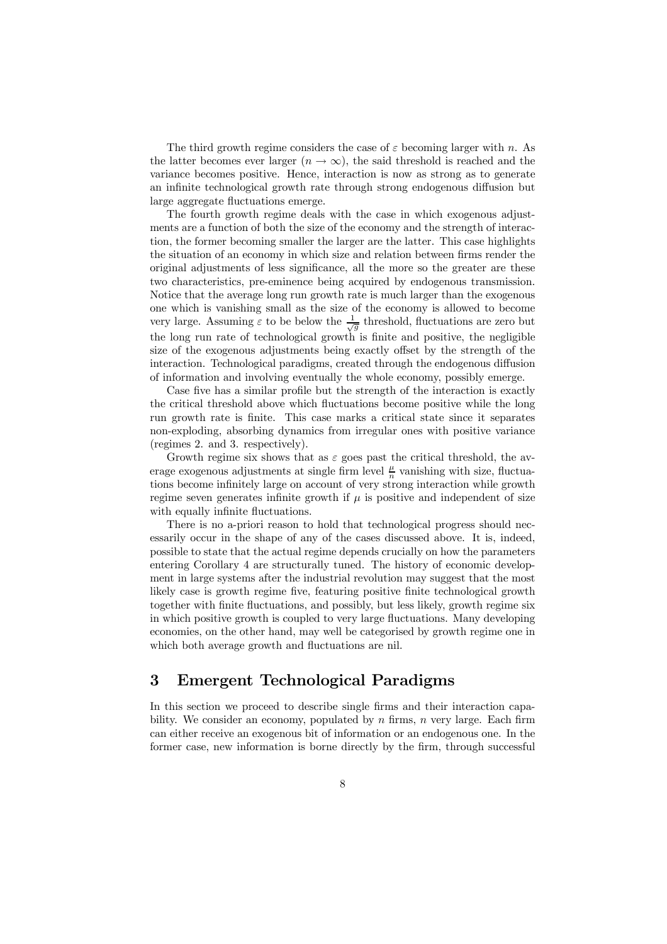The third growth regime considers the case of  $\varepsilon$  becoming larger with n. As the latter becomes ever larger  $(n \to \infty)$ , the said threshold is reached and the variance becomes positive. Hence, interaction is now as strong as to generate an infinite technological growth rate through strong endogenous diffusion but large aggregate fluctuations emerge.

The fourth growth regime deals with the case in which exogenous adjustments are a function of both the size of the economy and the strength of interaction, the former becoming smaller the larger are the latter. This case highlights the situation of an economy in which size and relation between firms render the original adjustments of less significance, all the more so the greater are these two characteristics, pre-eminence being acquired by endogenous transmission. Notice that the average long run growth rate is much larger than the exogenous one which is vanishing small as the size of the economy is allowed to become very large. Assuming  $\varepsilon$  to be below the  $\frac{1}{\sqrt{g}}$  threshold, fluctuations are zero but the long run rate of technological growth is finite and positive, the negligible size of the exogenous adjustments being exactly offset by the strength of the interaction. Technological paradigms, created through the endogenous diffusion of information and involving eventually the whole economy, possibly emerge.

Case five has a similar profile but the strength of the interaction is exactly the critical threshold above which fluctuations become positive while the long run growth rate is finite. This case marks a critical state since it separates non-exploding, absorbing dynamics from irregular ones with positive variance (regimes 2. and 3. respectively).

Growth regime six shows that as  $\varepsilon$  goes past the critical threshold, the average exogenous adjustments at single firm level  $\frac{\mu}{n}$  vanishing with size, fluctuations become infinitely large on account of very strong interaction while growth regime seven generates infinite growth if  $\mu$  is positive and independent of size with equally infinite fluctuations.

There is no a-priori reason to hold that technological progress should necessarily occur in the shape of any of the cases discussed above. It is, indeed, possible to state that the actual regime depends crucially on how the parameters entering Corollary 4 are structurally tuned. The history of economic development in large systems after the industrial revolution may suggest that the most likely case is growth regime five, featuring positive finite technological growth together with finite fluctuations, and possibly, but less likely, growth regime six in which positive growth is coupled to very large fluctuations. Many developing economies, on the other hand, may well be categorised by growth regime one in which both average growth and fluctuations are nil.

### 3 Emergent Technological Paradigms

In this section we proceed to describe single firms and their interaction capability. We consider an economy, populated by  $n$  firms,  $n$  very large. Each firm can either receive an exogenous bit of information or an endogenous one. In the former case, new information is borne directly by the firm, through successful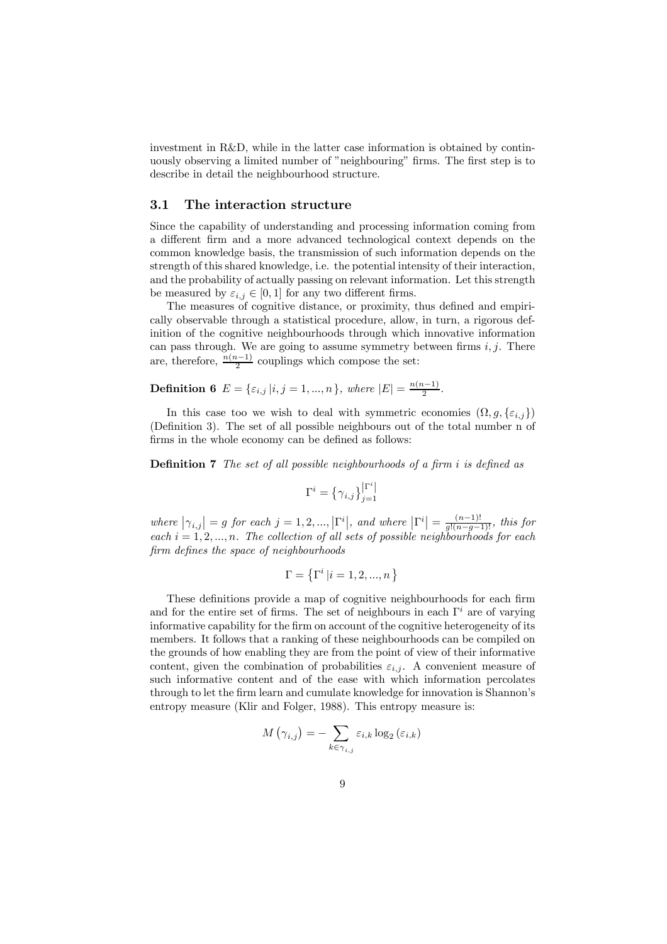investment in R&D, while in the latter case information is obtained by continuously observing a limited number of "neighbouring" firms. The first step is to describe in detail the neighbourhood structure.

#### 3.1 The interaction structure

Since the capability of understanding and processing information coming from a different firm and a more advanced technological context depends on the common knowledge basis, the transmission of such information depends on the strength of this shared knowledge, i.e. the potential intensity of their interaction, and the probability of actually passing on relevant information. Let this strength be measured by  $\varepsilon_{i,j} \in [0,1]$  for any two different firms.

The measures of cognitive distance, or proximity, thus defined and empirically observable through a statistical procedure, allow, in turn, a rigorous definition of the cognitive neighbourhoods through which innovative information can pass through. We are going to assume symmetry between firms  $i, j$ . There are, therefore,  $\frac{n(n-1)}{2}$  couplings which compose the set:

**Definition 6**  $E = \{\varepsilon_{i,j} | i, j = 1, ..., n\}$ , where  $|E| = \frac{n(n-1)}{2}$ .

In this case too we wish to deal with symmetric economies  $(\Omega, g, \{\varepsilon_{i,j}\})$ (Definition 3). The set of all possible neighbours out of the total number n of firms in the whole economy can be defined as follows:

Definition 7 The set of all possible neighbourhoods of a firm i is defined as

$$
\Gamma^i = \left\{\gamma_{i,j}\right\}_{j=1}^{\left|\Gamma^i\right|}
$$

where  $|\gamma_{i,j}| = g$  for each  $j = 1, 2, ..., |\Gamma^i|$ , and where  $|\Gamma^i| = \frac{(n-1)!}{g!(n-g-1)!}$ , this for each  $i = 1, 2, ..., n$ . The collection of all sets of possible neighbourhoods for each firm defines the space of neighbourhoods

$$
\Gamma = \left\{ \Gamma^i \left| i=1,2,...,n \right. \right\}
$$

These definitions provide a map of cognitive neighbourhoods for each firm and for the entire set of firms. The set of neighbours in each  $\Gamma^i$  are of varying informative capability for the firm on account of the cognitive heterogeneity of its members. It follows that a ranking of these neighbourhoods can be compiled on the grounds of how enabling they are from the point of view of their informative content, given the combination of probabilities  $\varepsilon_{i,j}$ . A convenient measure of such informative content and of the ease with which information percolates through to let the firm learn and cumulate knowledge for innovation is Shannon's entropy measure (Klir and Folger, 1988). This entropy measure is:

$$
M\left(\gamma_{i,j}\right) = -\sum_{k \in \gamma_{i,j}} \varepsilon_{i,k} \log_2\left(\varepsilon_{i,k}\right)
$$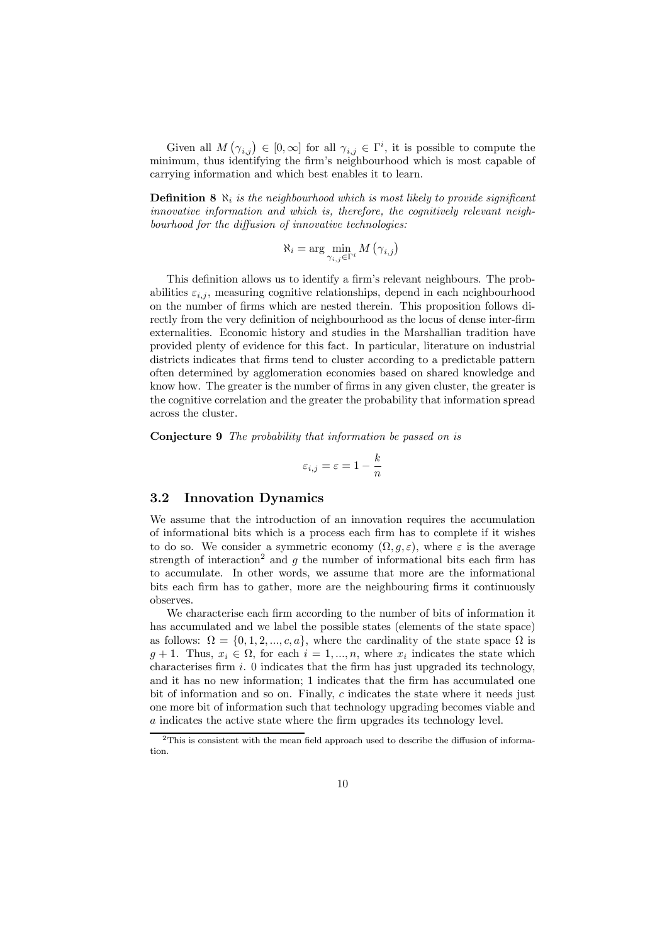Given all  $M(\gamma_{i,j}) \in [0,\infty]$  for all  $\gamma_{i,j} \in \Gamma^i$ , it is possible to compute the minimum, thus identifying the firm's neighbourhood which is most capable of carrying information and which best enables it to learn.

**Definition 8**  $\aleph_i$  is the neighbourhood which is most likely to provide significant innovative information and which is, therefore, the cognitively relevant neighbourhood for the diffusion of innovative technologies:

$$
\aleph_i = \arg\min_{\gamma_{i,j}\in\Gamma^i} M(\gamma_{i,j})
$$

This definition allows us to identify a firm's relevant neighbours. The probabilities  $\varepsilon_{i,j}$ , measuring cognitive relationships, depend in each neighbourhood on the number of firms which are nested therein. This proposition follows directly from the very definition of neighbourhood as the locus of dense inter-firm externalities. Economic history and studies in the Marshallian tradition have provided plenty of evidence for this fact. In particular, literature on industrial districts indicates that firms tend to cluster according to a predictable pattern often determined by agglomeration economies based on shared knowledge and know how. The greater is the number of firms in any given cluster, the greater is the cognitive correlation and the greater the probability that information spread across the cluster.

Conjecture 9 The probability that information be passed on is

$$
\varepsilon_{i,j} = \varepsilon = 1 - \frac{k}{n}
$$

#### 3.2 Innovation Dynamics

We assume that the introduction of an innovation requires the accumulation of informational bits which is a process each firm has to complete if it wishes to do so. We consider a symmetric economy  $(\Omega, g, \varepsilon)$ , where  $\varepsilon$  is the average strength of interaction<sup>2</sup> and q the number of informational bits each firm has to accumulate. In other words, we assume that more are the informational bits each firm has to gather, more are the neighbouring firms it continuously observes.

We characterise each firm according to the number of bits of information it has accumulated and we label the possible states (elements of the state space) as follows:  $\Omega = \{0, 1, 2, ..., c, a\}$ , where the cardinality of the state space  $\Omega$  is  $g + 1$ . Thus,  $x_i \in \Omega$ , for each  $i = 1, ..., n$ , where  $x_i$  indicates the state which characterises firm  $i$ . 0 indicates that the firm has just upgraded its technology, and it has no new information; 1 indicates that the firm has accumulated one bit of information and so on. Finally, c indicates the state where it needs just one more bit of information such that technology upgrading becomes viable and a indicates the active state where the firm upgrades its technology level.

<sup>2</sup>This is consistent with the mean field approach used to describe the diffusion of information.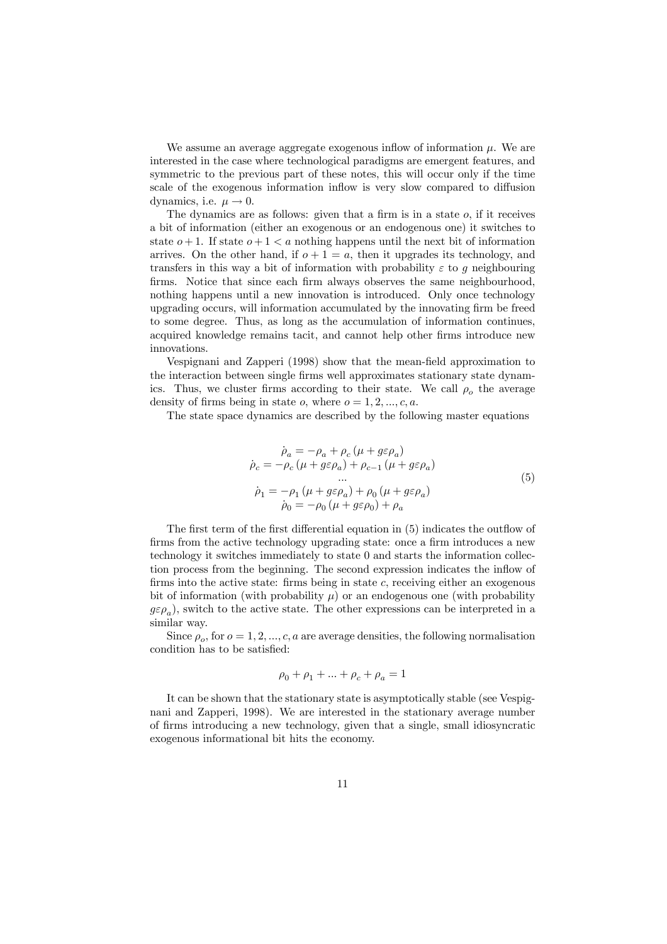We assume an average aggregate exogenous inflow of information  $\mu$ . We are interested in the case where technological paradigms are emergent features, and symmetric to the previous part of these notes, this will occur only if the time scale of the exogenous information inflow is very slow compared to diffusion dynamics, i.e.  $\mu \rightarrow 0$ .

The dynamics are as follows: given that a firm is in a state  $o$ , if it receives a bit of information (either an exogenous or an endogenous one) it switches to state  $o+1$ . If state  $o+1 < a$  nothing happens until the next bit of information arrives. On the other hand, if  $o + 1 = a$ , then it upgrades its technology, and transfers in this way a bit of information with probability  $\varepsilon$  to g neighbouring firms. Notice that since each firm always observes the same neighbourhood, nothing happens until a new innovation is introduced. Only once technology upgrading occurs, will information accumulated by the innovating firm be freed to some degree. Thus, as long as the accumulation of information continues, acquired knowledge remains tacit, and cannot help other firms introduce new innovations.

Vespignani and Zapperi (1998) show that the mean-field approximation to the interaction between single firms well approximates stationary state dynamics. Thus, we cluster firms according to their state. We call  $\rho_o$  the average density of firms being in state o, where  $o = 1, 2, ..., c, a$ .

The state space dynamics are described by the following master equations

$$
\dot{\rho}_a = -\rho_a + \rho_c (\mu + g\varepsilon \rho_a) \n\dot{\rho}_c = -\rho_c (\mu + g\varepsilon \rho_a) + \rho_{c-1} (\mu + g\varepsilon \rho_a) \n\cdots \n\dot{\rho}_1 = -\rho_1 (\mu + g\varepsilon \rho_a) + \rho_0 (\mu + g\varepsilon \rho_a) \n\dot{\rho}_0 = -\rho_0 (\mu + g\varepsilon \rho_0) + \rho_a
$$
\n(5)

The first term of the first differential equation in (5) indicates the outflow of firms from the active technology upgrading state: once a firm introduces a new technology it switches immediately to state 0 and starts the information collection process from the beginning. The second expression indicates the inflow of firms into the active state: firms being in state  $c$ , receiving either an exogenous bit of information (with probability  $\mu$ ) or an endogenous one (with probability  $g\varepsilon\rho_a$ ), switch to the active state. The other expressions can be interpreted in a similar way.

Since  $\rho_o$ , for  $o = 1, 2, ..., c, a$  are average densities, the following normalisation condition has to be satisfied:

$$
\rho_0+\rho_1+\ldots+\rho_c+\rho_a=1
$$

It can be shown that the stationary state is asymptotically stable (see Vespignani and Zapperi, 1998). We are interested in the stationary average number of firms introducing a new technology, given that a single, small idiosyncratic exogenous informational bit hits the economy.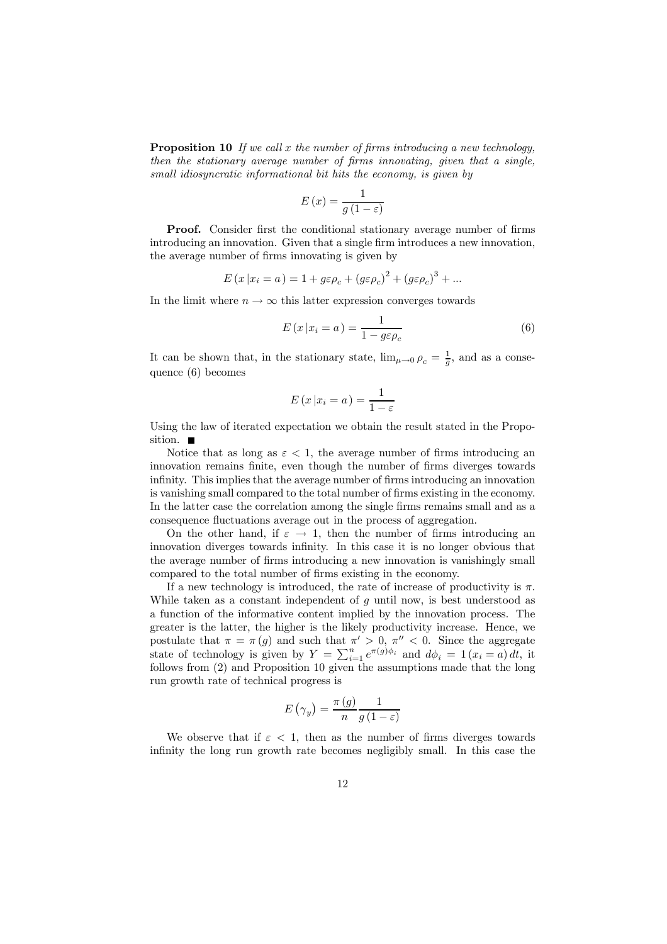**Proposition 10** If we call x the number of firms introducing a new technology, then the stationary average number of firms innovating, given that a single, small idiosyncratic informational bit hits the economy, is given by

$$
E(x) = \frac{1}{g(1 - \varepsilon)}
$$

Proof. Consider first the conditional stationary average number of firms introducing an innovation. Given that a single firm introduces a new innovation, the average number of firms innovating is given by

$$
E(x|x_i = a) = 1 + g\varepsilon\rho_c + (g\varepsilon\rho_c)^2 + (g\varepsilon\rho_c)^3 + \dots
$$

In the limit where  $n \to \infty$  this latter expression converges towards

$$
E(x|x_i = a) = \frac{1}{1 - g\varepsilon\rho_c} \tag{6}
$$

It can be shown that, in the stationary state,  $\lim_{\mu \to 0} \rho_c = \frac{1}{g}$ , and as a consequence (6) becomes

$$
E(x|x_i = a) = \frac{1}{1 - \varepsilon}
$$

Using the law of iterated expectation we obtain the result stated in the Proposition.  $\blacksquare$ 

Notice that as long as  $\varepsilon < 1$ , the average number of firms introducing an innovation remains finite, even though the number of firms diverges towards infinity. This implies that the average number of firms introducing an innovation is vanishing small compared to the total number of firms existing in the economy. In the latter case the correlation among the single firms remains small and as a consequence fluctuations average out in the process of aggregation.

On the other hand, if  $\varepsilon \to 1$ , then the number of firms introducing an innovation diverges towards infinity. In this case it is no longer obvious that the average number of firms introducing a new innovation is vanishingly small compared to the total number of firms existing in the economy.

If a new technology is introduced, the rate of increase of productivity is  $\pi$ . While taken as a constant independent of q until now, is best understood as a function of the informative content implied by the innovation process. The greater is the latter, the higher is the likely productivity increase. Hence, we postulate that  $\pi = \pi(g)$  and such that  $\pi' > 0$ ,  $\pi'' < 0$ . Since the aggregate state of technology is given by  $Y = \sum_{i=1}^{n} e^{\pi(g)\phi_i}$  and  $d\phi_i = 1 (x_i = a) dt$ , it follows from (2) and Proposition 10 given the assumptions made that the long run growth rate of technical progress is

$$
E\left(\gamma_y\right) = \frac{\pi\left(g\right)}{n} \frac{1}{g\left(1 - \varepsilon\right)}
$$

We observe that if  $\varepsilon$  < 1, then as the number of firms diverges towards infinity the long run growth rate becomes negligibly small. In this case the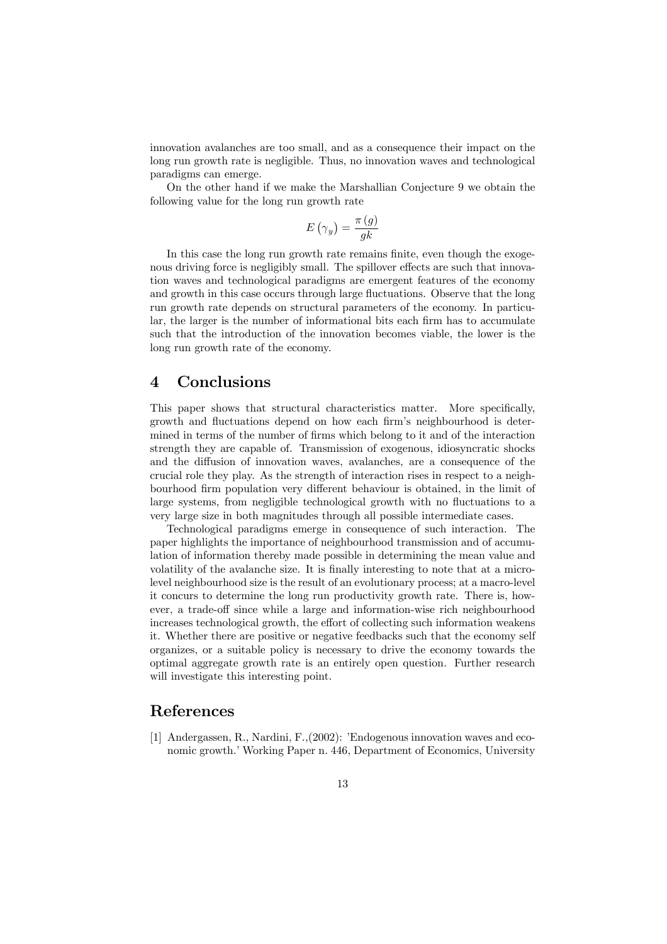innovation avalanches are too small, and as a consequence their impact on the long run growth rate is negligible. Thus, no innovation waves and technological paradigms can emerge.

On the other hand if we make the Marshallian Conjecture 9 we obtain the following value for the long run growth rate

$$
E\left(\gamma_y\right) = \frac{\pi\left(g\right)}{gk}
$$

In this case the long run growth rate remains finite, even though the exogenous driving force is negligibly small. The spillover effects are such that innovation waves and technological paradigms are emergent features of the economy and growth in this case occurs through large fluctuations. Observe that the long run growth rate depends on structural parameters of the economy. In particular, the larger is the number of informational bits each firm has to accumulate such that the introduction of the innovation becomes viable, the lower is the long run growth rate of the economy.

#### 4 Conclusions

This paper shows that structural characteristics matter. More specifically, growth and fluctuations depend on how each firm's neighbourhood is determined in terms of the number of firms which belong to it and of the interaction strength they are capable of. Transmission of exogenous, idiosyncratic shocks and the diffusion of innovation waves, avalanches, are a consequence of the crucial role they play. As the strength of interaction rises in respect to a neighbourhood firm population very different behaviour is obtained, in the limit of large systems, from negligible technological growth with no fluctuations to a very large size in both magnitudes through all possible intermediate cases.

Technological paradigms emerge in consequence of such interaction. The paper highlights the importance of neighbourhood transmission and of accumulation of information thereby made possible in determining the mean value and volatility of the avalanche size. It is finally interesting to note that at a microlevel neighbourhood size is the result of an evolutionary process; at a macro-level it concurs to determine the long run productivity growth rate. There is, however, a trade-off since while a large and information-wise rich neighbourhood increases technological growth, the effort of collecting such information weakens it. Whether there are positive or negative feedbacks such that the economy self organizes, or a suitable policy is necessary to drive the economy towards the optimal aggregate growth rate is an entirely open question. Further research will investigate this interesting point.

# References

[1] Andergassen, R., Nardini, F.,(2002): 'Endogenous innovation waves and economic growth.' Working Paper n. 446, Department of Economics, University